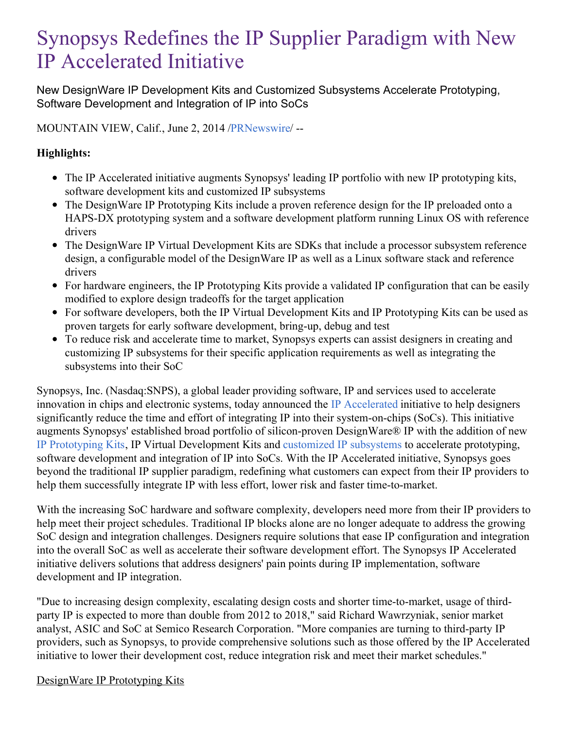# Synopsys Redefines the IP Supplier Paradigm with New IP Accelerated Initiative

New DesignWare IP Development Kits and Customized Subsystems Accelerate Prototyping, Software Development and Integration of IP into SoCs

MOUNTAIN VIEW, Calif., June 2, 2014 [/PRNewswire](http://www.prnewswire.com/)/ --

# **Highlights:**

- The IP Accelerated initiative augments Synopsys' leading IP portfolio with new IP prototyping kits, software development kits and customized IP subsystems
- The DesignWare IP Prototyping Kits include a proven reference design for the IP preloaded onto a HAPS-DX prototyping system and a software development platform running Linux OS with reference drivers
- The DesignWare IP Virtual Development Kits are SDKs that include a processor subsystem reference design, a configurable model of the DesignWare IP as well as a Linux software stack and reference drivers
- For hardware engineers, the IP Prototyping Kits provide a validated IP configuration that can be easily modified to explore design tradeoffs for the target application
- For software developers, both the IP Virtual Development Kits and IP Prototyping Kits can be used as proven targets for early software development, bring-up, debug and test
- To reduce risk and accelerate time to market, Synopsys experts can assist designers in creating and customizing IP subsystems for their specific application requirements as well as integrating the subsystems into their SoC

Synopsys, Inc. (Nasdaq:SNPS), a global leader providing software, IP and services used to accelerate innovation in chips and electronic systems, today announced the IP [Accelerated](http://www.synopsys.com/IP/ip-accelerated/Pages/default.aspx) initiative to help designers significantly reduce the time and effort of integrating IP into their system-on-chips (SoCs). This initiative augments Synopsys' established broad portfolio of silicon-proven DesignWare® IP with the addition of new IP [Prototyping](http://www.synopsys.com/IP/ip-accelerated/Pages/ip-prototyping-kits.aspx) Kits, IP Virtual Development Kits and [customized](http://www.synopsys.com/IP/ip-accelerated/Pages/customized-ip-subsystems.aspx) IP subsystems to accelerate prototyping, software development and integration of IP into SoCs. With the IP Accelerated initiative, Synopsys goes beyond the traditional IP supplier paradigm, redefining what customers can expect from their IP providers to help them successfully integrate IP with less effort, lower risk and faster time-to-market.

With the increasing SoC hardware and software complexity, developers need more from their IP providers to help meet their project schedules. Traditional IP blocks alone are no longer adequate to address the growing SoC design and integration challenges. Designers require solutions that ease IP configuration and integration into the overall SoC as well as accelerate their software development effort. The Synopsys IP Accelerated initiative delivers solutions that address designers' pain points during IP implementation, software development and IP integration.

"Due to increasing design complexity, escalating design costs and shorter time-to-market, usage of thirdparty IP is expected to more than double from 2012 to 2018," said Richard Wawrzyniak, senior market analyst, ASIC and SoC at Semico Research Corporation. "More companies are turning to third-party IP providers, such as Synopsys, to provide comprehensive solutions such as those offered by the IP Accelerated initiative to lower their development cost, reduce integration risk and meet their market schedules."

#### DesignWare IP Prototyping Kits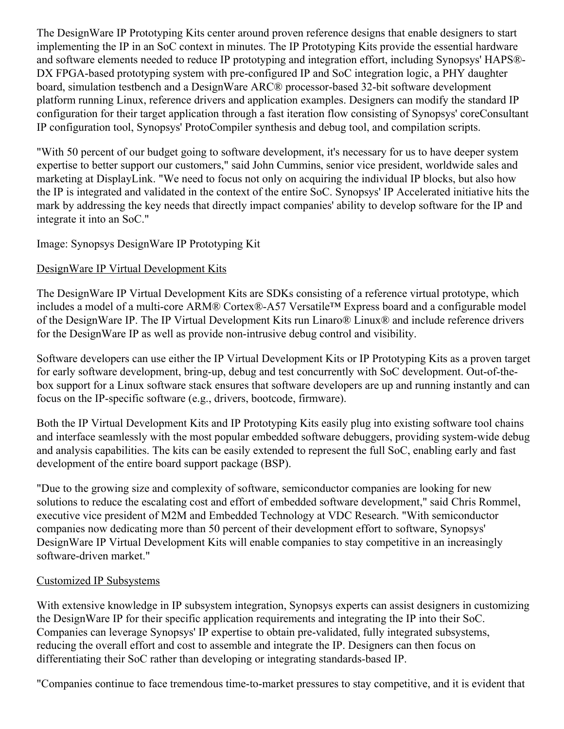The DesignWare IP Prototyping Kits center around proven reference designs that enable designers to start implementing the IP in an SoC context in minutes. The IP Prototyping Kits provide the essential hardware and software elements needed to reduce IP prototyping and integration effort, including Synopsys' HAPS®- DX FPGA-based prototyping system with pre-configured IP and SoC integration logic, a PHY daughter board, simulation testbench and a DesignWare ARC® processor-based 32-bit software development platform running Linux, reference drivers and application examples. Designers can modify the standard IP configuration for their target application through a fast iteration flow consisting of Synopsys' coreConsultant IP configuration tool, Synopsys' ProtoCompiler synthesis and debug tool, and compilation scripts.

"With 50 percent of our budget going to software development, it's necessary for us to have deeper system expertise to better support our customers," said John Cummins, senior vice president, worldwide sales and marketing at DisplayLink. "We need to focus not only on acquiring the individual IP blocks, but also how the IP is integrated and validated in the context of the entire SoC. Synopsys' IP Accelerated initiative hits the mark by addressing the key needs that directly impact companies' ability to develop software for the IP and integrate it into an SoC."

## Image: Synopsys DesignWare IP Prototyping Kit

## DesignWare IP Virtual Development Kits

The DesignWare IP Virtual Development Kits are SDKs consisting of a reference virtual prototype, which includes a model of a multi-core ARM® Cortex®-A57 Versatile™ Express board and a configurable model of the DesignWare IP. The IP Virtual Development Kits run Linaro® Linux® and include reference drivers for the DesignWare IP as well as provide non-intrusive debug control and visibility.

Software developers can use either the IP Virtual Development Kits or IP Prototyping Kits as a proven target for early software development, bring-up, debug and test concurrently with SoC development. Out-of-thebox support for a Linux software stack ensures that software developers are up and running instantly and can focus on the IP-specific software (e.g., drivers, bootcode, firmware).

Both the IP Virtual Development Kits and IP Prototyping Kits easily plug into existing software tool chains and interface seamlessly with the most popular embedded software debuggers, providing system-wide debug and analysis capabilities. The kits can be easily extended to represent the full SoC, enabling early and fast development of the entire board support package (BSP).

"Due to the growing size and complexity of software, semiconductor companies are looking for new solutions to reduce the escalating cost and effort of embedded software development," said Chris Rommel, executive vice president of M2M and Embedded Technology at VDC Research. "With semiconductor companies now dedicating more than 50 percent of their development effort to software, Synopsys' DesignWare IP Virtual Development Kits will enable companies to stay competitive in an increasingly software-driven market."

#### Customized IP Subsystems

With extensive knowledge in IP subsystem integration, Synopsys experts can assist designers in customizing the DesignWare IP for their specific application requirements and integrating the IP into their SoC. Companies can leverage Synopsys' IP expertise to obtain pre-validated, fully integrated subsystems, reducing the overall effort and cost to assemble and integrate the IP. Designers can then focus on differentiating their SoC rather than developing or integrating standards-based IP.

"Companies continue to face tremendous time-to-market pressures to stay competitive, and it is evident that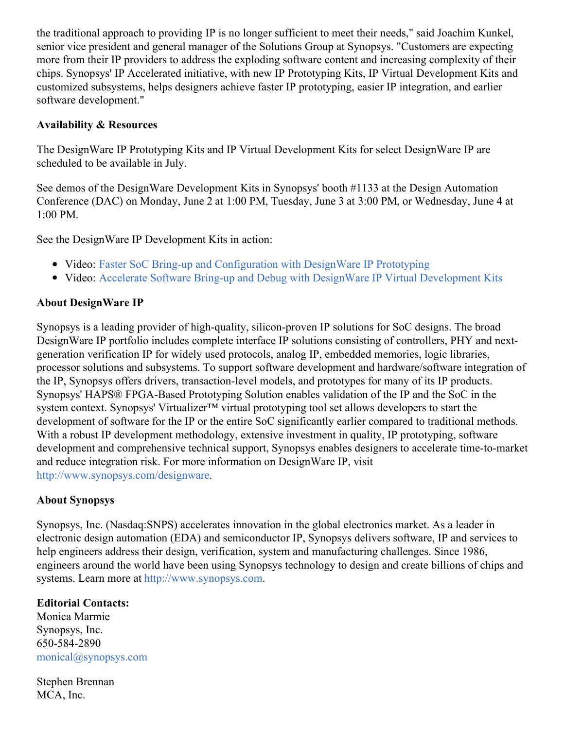the traditional approach to providing IP is no longer sufficient to meet their needs," said Joachim Kunkel, senior vice president and general manager of the Solutions Group at Synopsys. "Customers are expecting more from their IP providers to address the exploding software content and increasing complexity of their chips. Synopsys' IP Accelerated initiative, with new IP Prototyping Kits, IP Virtual Development Kits and customized subsystems, helps designers achieve faster IP prototyping, easier IP integration, and earlier software development."

# **Availability & Resources**

The DesignWare IP Prototyping Kits and IP Virtual Development Kits for select DesignWare IP are scheduled to be available in July.

See demos of the DesignWare Development Kits in Synopsys' booth #1133 at the Design Automation Conference (DAC) on Monday, June 2 at 1:00 PM, Tuesday, June 3 at 3:00 PM, or Wednesday, June 4 at 1:00 PM.

See the DesignWare IP Development Kits in action:

- Video: Faster SoC Bring-up and [Configuration](https://www.youtube.com/watch?v=JYI1z0rTNLo) with DesignWare IP Prototyping
- Video: Accelerate Software Bring-up and Debug with DesignWare IP Virtual [Development](https://www.youtube.com/watch?v=NEGPOVVk334) Kits

## **About DesignWare IP**

Synopsys is a leading provider of high-quality, silicon-proven IP solutions for SoC designs. The broad DesignWare IP portfolio includes complete interface IP solutions consisting of controllers, PHY and nextgeneration verification IP for widely used protocols, analog IP, embedded memories, logic libraries, processor solutions and subsystems. To support software development and hardware/software integration of the IP, Synopsys offers drivers, transaction-level models, and prototypes for many of its IP products. Synopsys' HAPS® FPGA-Based Prototyping Solution enables validation of the IP and the SoC in the system context. Synopsys' Virtualizer<sup>™</sup> virtual prototyping tool set allows developers to start the development of software for the IP or the entire SoC significantly earlier compared to traditional methods. With a robust IP development methodology, extensive investment in quality, IP prototyping, software development and comprehensive technical support, Synopsys enables designers to accelerate time-to-market and reduce integration risk. For more information on DesignWare IP, visit <http://www.synopsys.com/designware>.

#### **About Synopsys**

Synopsys, Inc. (Nasdaq:SNPS) accelerates innovation in the global electronics market. As a leader in electronic design automation (EDA) and semiconductor IP, Synopsys delivers software, IP and services to help engineers address their design, verification, system and manufacturing challenges. Since 1986, engineers around the world have been using Synopsys technology to design and create billions of chips and systems. Learn more at [http://www.synopsys.com](http://www.synopsys.com/).

# **Editorial Contacts:**

Monica Marmie Synopsys, Inc. 650-584-2890 [monical@synopsys.com](mailto:monical@synopsys.com)

Stephen Brennan MCA, Inc.